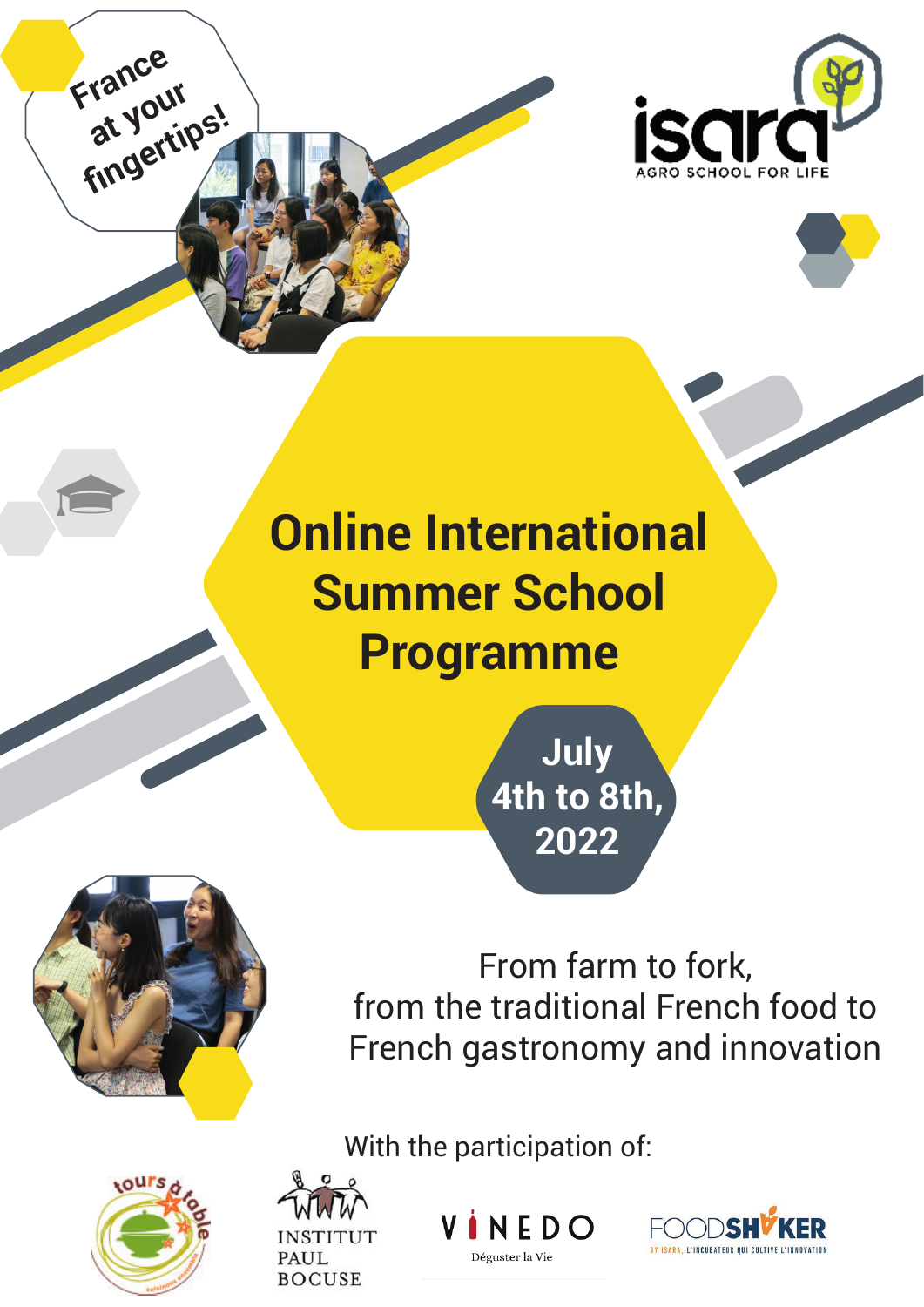

# **Online International Summer School Programme**

**July 4th to 8th, 2022**



**France** 

**at your** 

at you.<br>**fingertips!** 

From farm to fork, from the traditional French food to French gastronomy and innovation

**INSTITUT** PAUL **BOCUSE** 

 $NFDO$ 

Déguster la Vie

With the participation of:

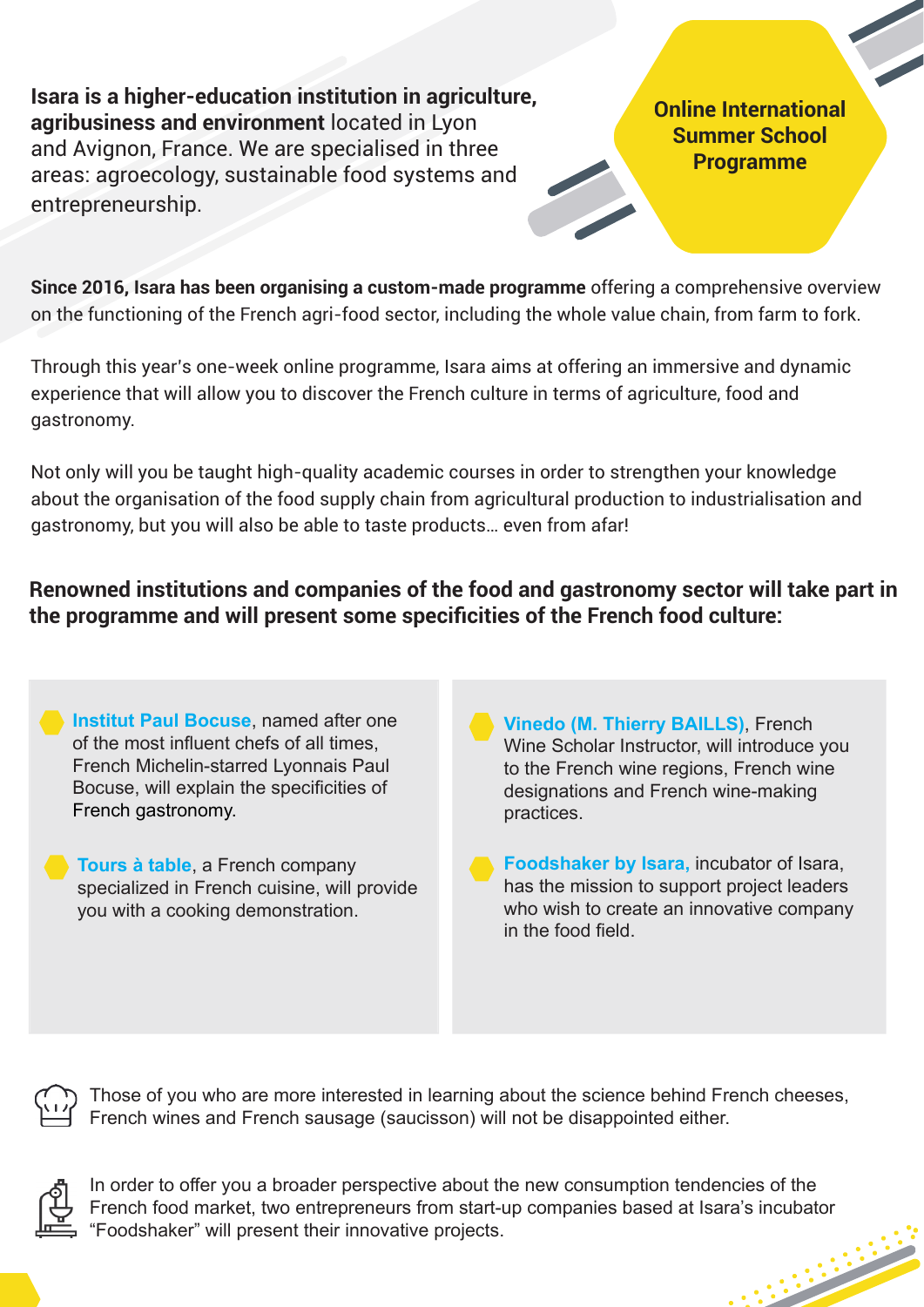**Isara is a higher-education institution in agriculture, agribusiness and environment** located in Lyon and Avignon. France. We are specialised in three areas: agroecology, sustainable food systems and entrepreneurship.

**Online International Summer School Programme**

**Since 2016, Isara has been organising a custom-made programme** offering a comprehensive overview on the functioning of the French agri-food sector, including the whole value chain, from farm to fork.

Through this year's one-week online programme, Isara aims at offering an immersive and dynamic experience that will allow you to discover the French culture in terms of agriculture, food and gastronomy.

Not only will you be taught high-quality academic courses in order to strengthen your knowledge about the organisation of the food supply chain from agricultural production to industrialisation and gastronomy, but you will also be able to taste products… even from afar!

**Renowned institutions and companies of the food and gastronomy sector will take part in**  the programme and will present some specificities of the French food culture:

**Institut Paul Bocuse**, named after one of the most influent chefs of all times. French Michelin-starred Lyonnais Paul Bocuse, will explain the specificities of French gastronomy.

**Tours à table**, a French company specialized in French cuisine, will provide you with a cooking demonstration.

**Vinedo (M. Thierry BAILLS)**, French Wine Scholar Instructor, will introduce you to the French wine regions, French wine designations and French wine-making practices.

**Foodshaker by Isara,** incubator of Isara, has the mission to support project leaders who wish to create an innovative company in the food field.



Those of you who are more interested in learning about the science behind French cheeses, French wines and French sausage (saucisson) will not be disappointed either.



In order to offer you a broader perspective about the new consumption tendencies of the French food market, two entrepreneurs from start-up companies based at Isara's incubator "Foodshaker" will present their innovative projects.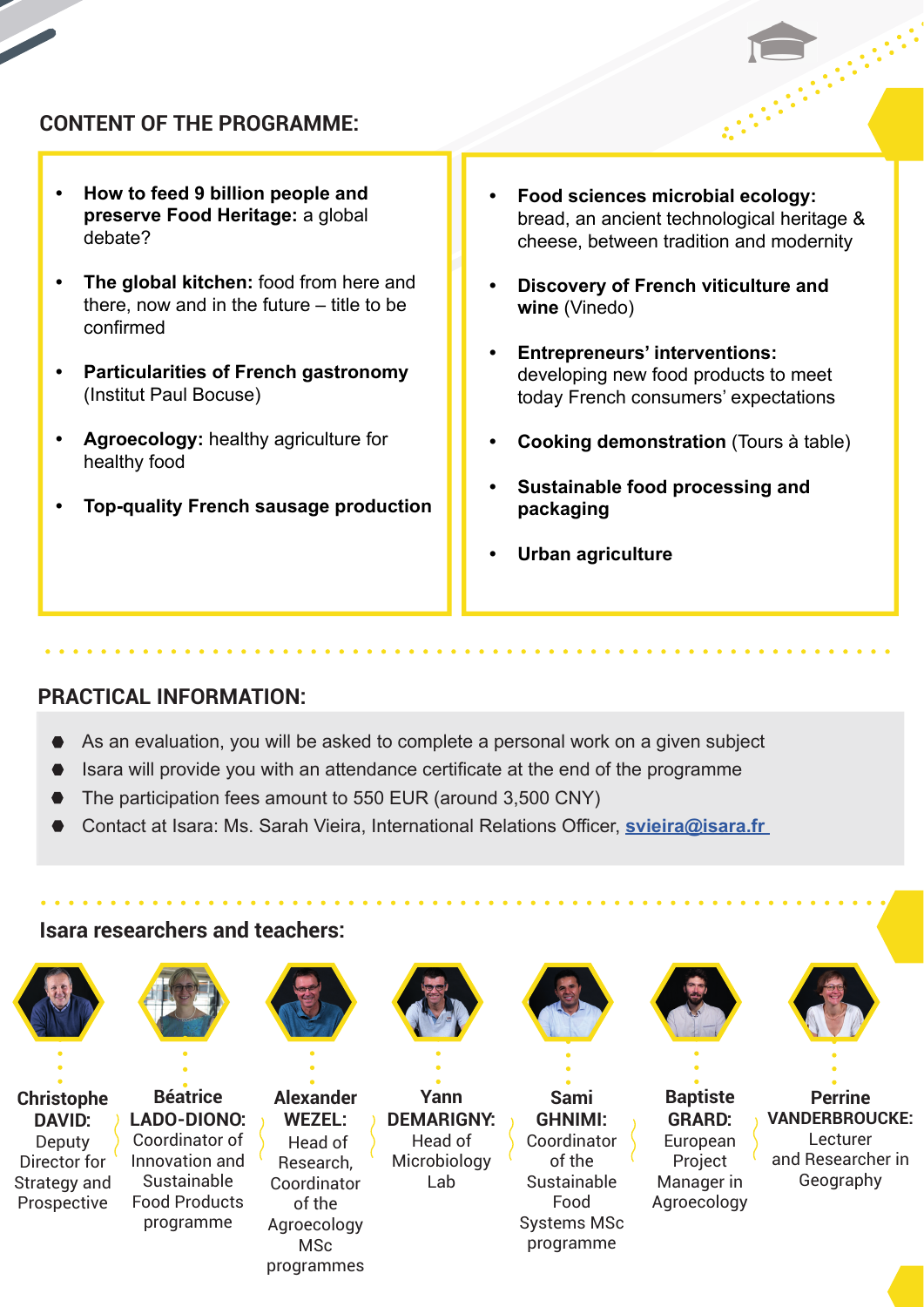### **CONTENT OF THE PROGRAMME:**

- **How to feed 9 billion people and preserve Food Heritage:** a global debate?
- **The global kitchen:** food from here and there, now and in the future – title to be confirmed
- **Particularities of French gastronomy**  (Institut Paul Bocuse)
- **Agroecology:** healthy agriculture for healthy food
- **Top-quality French sausage production**
- **Food sciences microbial ecology:**  bread, an ancient technological heritage & cheese, between tradition and modernity
- **Discovery of French viticulture and wine** (Vinedo)
- **Entrepreneurs' interventions:**  developing new food products to meet today French consumers' expectations
- **Cooking demonstration** (Tours à table)
- **Sustainable food processing and packaging**
- **Urban agriculture**

#### **PRACTICAL INFORMATION:**

- As an evaluation, you will be asked to complete a personal work on a given subject
- **Isara will provide you with an attendance certificate at the end of the programme**
- The participation fees amount to 550 EUR (around 3,500 CNY)
- **Contact at Isara: Ms. Sarah Vieira, International Relations Officer, svieira@isara.fr**

#### **Isara researchers and teachers:**